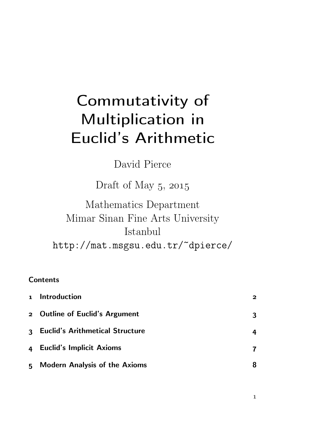# Commutativity of Multiplication in Euclid's Arithmetic

David Pierce

Draft of May  $5, 2015$ 

Mathematics Department Mimar Sinan Fine Arts University Istanbul http://mat.msgsu.edu.tr/~dpierce/

### **Contents**

|    | 1 Introduction                       | 2 |
|----|--------------------------------------|---|
|    | 2 Outline of Euclid's Argument       | 3 |
|    | 3 Euclid's Arithmetical Structure    | 4 |
|    | 4 Euclid's Implicit Axioms           |   |
| 5. | <b>Modern Analysis of the Axioms</b> | 8 |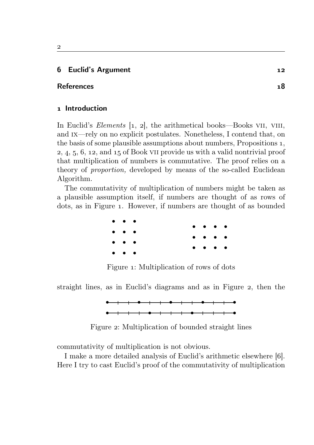#### Euclid's Argument

#### References

#### 1 Introduction

In Euclid's *Elements*  $\begin{bmatrix} 1, 2 \end{bmatrix}$ , the arithmetical books—Books VII, VIII, and ix—rely on no explicit postulates. Nonetheless, I contend that, on the basis of some plausible assumptions about numbers, Propositions 1,  $2, 4, 5, 6, 12,$  and  $15$  of Book VII provide us with a valid nontrivial proof that multiplication of numbers is commutative. The proof relies on a theory of proportion, developed by means of the so-called Euclidean Algorithm.

The commutativity of multiplication of numbers might be taken as a plausible assumption itself, if numbers are thought of as rows of dots, as in Figure . However, if numbers are thought of as bounded

| $\bullet\quad\bullet\quad\bullet$                              |                     |  |  |  |                                                                                               |  |
|----------------------------------------------------------------|---------------------|--|--|--|-----------------------------------------------------------------------------------------------|--|
| $\bullet\hspace{10pt}\bullet\hspace{10pt}\bullet\hspace{10pt}$ |                     |  |  |  | $\bullet\hspace{0.4mm}\bullet\hspace{0.4mm}\bullet\hspace{0.4mm}\bullet\hspace{0.4mm}\bullet$ |  |
|                                                                |                     |  |  |  | $\bullet\hspace{1mm}\bullet\hspace{1mm}\bullet\hspace{1mm}\bullet\hspace{1mm}\bullet$         |  |
| $\bullet\hspace{10pt}\bullet\hspace{10pt}\bullet\hspace{10pt}$ |                     |  |  |  | $\cdots$                                                                                      |  |
| $\bullet$                                                      | $\bullet$ $\bullet$ |  |  |  |                                                                                               |  |

Figure 1: Multiplication of rows of dots

straight lines, as in Euclid's diagrams and as in Figure 2, then the



Figure 2: Multiplication of bounded straight lines

commutativity of multiplication is not obvious.

I make a more detailed analysis of Euclid's arithmetic elsewhere [6]. Here I try to cast Euclid's proof of the commutativity of multiplication

 $\overline{2}$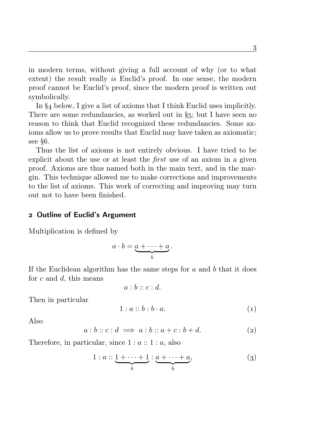in modern terms, without giving a full account of why (or to what extent) the result really is Euclid's proof. In one sense, the modern proof cannot be Euclid's proof, since the modern proof is written out symbolically.

In  $\S_4$  below, I give a list of axioms that I think Euclid uses implicitly. There are some redundancies, as worked out in  $\S$ 5; but I have seen no reason to think that Euclid recognized these redundancies. Some axioms allow us to prove results that Euclid may have taken as axiomatic; see  $§6$ .

Thus the list of axioms is not entirely obvious. I have tried to be explicit about the use or at least the first use of an axiom in a given proof. Axioms are thus named both in the main text, and in the margin. This technique allowed me to make corrections and improvements to the list of axioms. This work of correcting and improving may turn out not to have been finished.

#### 2 Outline of Euclid's Argument

Multiplication is defined by

$$
a\cdot b=\underbrace{a+\cdots+a}_{b}.
$$

If the Euclidean algorithm has the same steps for  $a$  and  $b$  that it does for  $c$  and  $d$ , this means

$$
a:b::c:d.
$$

Then in particular

$$
1: a::b:b\cdot a. \tag{1}
$$

Also

$$
a:b::c:d \implies a:b::a+c:b+d.
$$
 (2)

Therefore, in particular, since  $1 : a :: 1 : a$ , also

$$
1: a:: \underbrace{1+\cdots+1}_{b}:\underbrace{a+\cdots+a}_{b}, \tag{3}
$$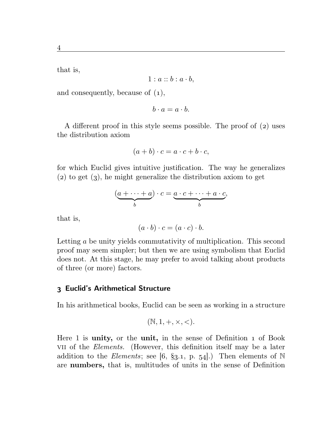$$
1 : a :: b : a \cdot b,
$$

and consequently, because of  $(1)$ ,

$$
b \cdot a = a \cdot b.
$$

A different proof in this style seems possible. The proof of  $(2)$  uses the distribution axiom

$$
(a+b)\cdot c = a\cdot c + b\cdot c,
$$

for which Euclid gives intuitive justification. The way he generalizes  $(2)$  to get  $(3)$ , he might generalize the distribution axiom to get

$$
(\underbrace{a+\cdots+a}_{b})\cdot c = \underbrace{a\cdot c+\cdots+a\cdot c}_{b},
$$

that is,

$$
(a \cdot b) \cdot c = (a \cdot c) \cdot b.
$$

Letting a be unity yields commutativity of multiplication. This second proof may seem simpler; but then we are using symbolism that Euclid does not. At this stage, he may prefer to avoid talking about products of three (or more) factors.

#### Euclid's Arithmetical Structure

In his arithmetical books, Euclid can be seen as working in a structure

$$
(\mathbb{N}, 1, +, \times, <).
$$

Here  $1$  is unity, or the unit, in the sense of Definition  $1$  of Book vii of the Elements. (However, this definition itself may be a later addition to the Elements; see [6, §3.1, p. 54].) Then elements of N are numbers, that is, multitudes of units in the sense of Definition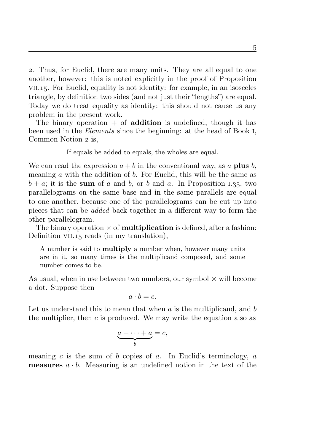. Thus, for Euclid, there are many units. They are all equal to one another, however: this is noted explicitly in the proof of Proposition vii.. For Euclid, equality is not identity: for example, in an isosceles triangle, by definition two sides (and not just their "lengths") are equal. Today we do treat equality as identity: this should not cause us any problem in the present work.

The binary operation  $+$  of **addition** is undefined, though it has been used in the *Elements* since the beginning: at the head of Book I, Common Notion 2 is,

If equals be added to equals, the wholes are equal.

We can read the expression  $a + b$  in the conventional way, as a **plus** b, meaning  $a$  with the addition of  $b$ . For Euclid, this will be the same as  $b + a$ ; it is the sum of a and b, or b and a. In Proposition 1.35, two parallelograms on the same base and in the same parallels are equal to one another, because one of the parallelograms can be cut up into pieces that can be added back together in a different way to form the other parallelogram.

The binary operation  $\times$  of **multiplication** is defined, after a fashion: Definition VII. 15 reads (in my translation),

A number is said to multiply a number when, however many units are in it, so many times is the multiplicand composed, and some number comes to be.

As usual, when in use between two numbers, our symbol  $\times$  will become a dot. Suppose then

$$
a \cdot b = c.
$$

Let us understand this to mean that when  $\alpha$  is the multiplicand, and  $\delta$ the multiplier, then  $c$  is produced. We may write the equation also as

$$
a + \cdots + a = c,
$$

meaning c is the sum of b copies of a. In Euclid's terminology, a **measures**  $a \cdot b$ . Measuring is an undefined notion in the text of the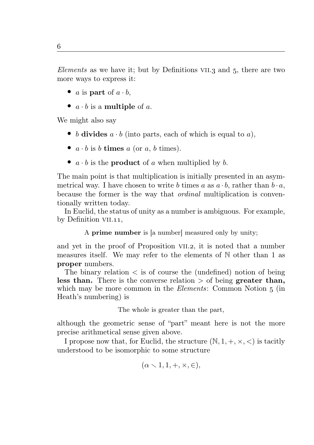Elements as we have it; but by Definitions VII.3 and  $5$ , there are two more ways to express it:

- a is part of  $a \cdot b$ ,
- $a \cdot b$  is a multiple of a.

We might also say

- b divides  $a \cdot b$  (into parts, each of which is equal to a),
- $a \cdot b$  is b times a (or a, b times).
- $a \cdot b$  is the **product** of a when multiplied by b.

The main point is that multiplication is initially presented in an asymmetrical way. I have chosen to write b times a as  $a \cdot b$ , rather than  $b \cdot a$ , because the former is the way that *ordinal* multiplication is conventionally written today.

In Euclid, the status of unity as a number is ambiguous. For example, by Definition VII.11,

A prime number is [a number] measured only by unity;

and yet in the proof of Proposition VII.2, it is noted that a number measures itself. We may refer to the elements of N other than 1 as proper numbers.

The binary relation < is of course the (undefined) notion of being less than. There is the converse relation  $>$  of being greater than, which may be more common in the *Elements*: Common Notion  $\frac{1}{5}$  (in Heath's numbering) is

The whole is greater than the part,

although the geometric sense of "part" meant here is not the more precise arithmetical sense given above.

I propose now that, for Euclid, the structure  $(N, 1, +, \times, <)$  is tacitly understood to be isomorphic to some structure

$$
(\alpha \smallsetminus 1, 1, +, \times, \in),
$$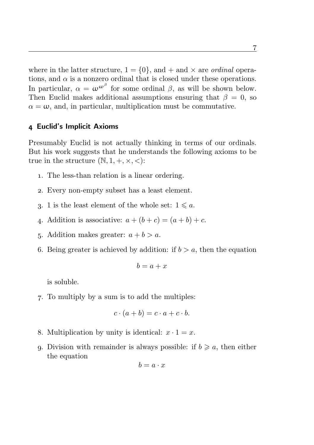where in the latter structure,  $1 = \{0\}$ , and  $+$  and  $\times$  are *ordinal* operations, and  $\alpha$  is a nonzero ordinal that is closed under these operations. In particular,  $\alpha = \omega^{\omega^{\beta}}$  for some ordinal  $\beta$ , as will be shown below. Then Euclid makes additional assumptions ensuring that  $\beta = 0$ , so  $\alpha = \omega$ , and, in particular, multiplication must be commutative.

#### Euclid's Implicit Axioms

Presumably Euclid is not actually thinking in terms of our ordinals. But his work suggests that he understands the following axioms to be true in the structure  $(N, 1, +, \times, <)$ :

- . The less-than relation is a linear ordering.
- . Every non-empty subset has a least element.
- 3. 1 is the least element of the whole set:  $1 \leq a$ .
- 4. Addition is associative:  $a + (b + c) = (a + b) + c$ .
- 5. Addition makes greater:  $a + b > a$ .
- 6. Being greater is achieved by addition: if  $b > a$ , then the equation

$$
b = a + x
$$

is soluble.

. To multiply by a sum is to add the multiples:

$$
c \cdot (a+b) = c \cdot a + c \cdot b.
$$

- 8. Multiplication by unity is identical:  $x \cdot 1 = x$ .
- 9. Division with remainder is always possible: if  $b \geq a$ , then either the equation

$$
b = a \cdot x
$$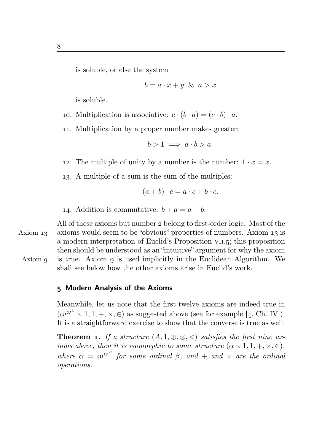is soluble, or else the system

$$
b = a \cdot x + y \& a > x
$$

is soluble.

- 10. Multiplication is associative:  $c \cdot (b \cdot a) = (c \cdot b) \cdot a$ .
- . Multiplication by a proper number makes greater:

$$
b>1 \implies a \cdot b > a.
$$

12. The multiple of unity by a number is the number:  $1 \cdot x = x$ .

. A multiple of a sum is the sum of the multiples:

$$
(a+b)\cdot c = a\cdot c + b\cdot c.
$$

- 14. Addition is commutative:  $b + a = a + b$ .
- All of these axioms but number 2 belong to first-order logic. Most of the Axiom  $13$  axioms would seem to be "obvious" properties of numbers. Axiom  $13$  is a modern interpretation of Euclid's Proposition VII.5; this proposition then should be understood as an "intuitive" argument for why the axiom Axiom  $g$  is true. Axiom  $g$  is used implicitly in the Euclidean Algorithm. We shall see below how the other axioms arise in Euclid's work.

## Modern Analysis of the Axioms

Meanwhile, let us note that the first twelve axioms are indeed true in  $(\omega^{\omega^{\beta}} \setminus 1, 1, +, \times, \in)$  as suggested above (see for example [4, Ch. IV]). It is a straightforward exercise to show that the converse is true as well:

**Theorem 1.** If a structure  $(A, 1, \oplus, \otimes, \leq)$  satisfies the first nine axioms above, then it is isomorphic to some structure  $(\alpha \setminus 1, 1, +, \times, \in)$ , where  $\alpha = \omega^{\omega^{\beta}}$  for some ordinal  $\beta$ , and  $+$  and  $\times$  are the ordinal operations.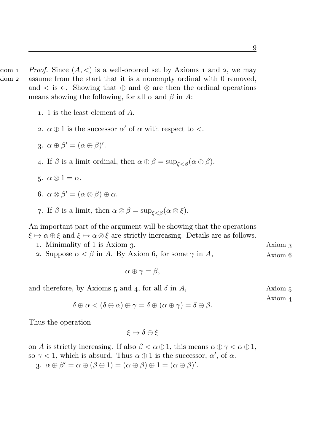- $A_n$  is a well-ordered set by Axioms 1 and 2, we may  $A$  assume from the start that it is a nonempty ordinal with 0 removed, and  $\lt$  is  $\in$ . Showing that  $\oplus$  and  $\otimes$  are then the ordinal operations means showing the following, for all  $\alpha$  and  $\beta$  in A:
	- . 1 is the least element of A.
	- 2.  $\alpha \oplus 1$  is the successor  $\alpha'$  of  $\alpha$  with respect to  $\lt$ .
	- 3.  $\alpha \oplus \beta' = (\alpha \oplus \beta)'$ .
	- 4. If  $\beta$  is a limit ordinal, then  $\alpha \oplus \beta = \sup_{\xi \leq \beta} (\alpha \oplus \beta)$ .
	- 5.  $\alpha \otimes 1 = \alpha$ .
	- 6.  $\alpha \otimes \beta' = (\alpha \otimes \beta) \oplus \alpha$ .
	- 7. If  $\beta$  is a limit, then  $\alpha \otimes \beta = \sup_{\xi < \beta} (\alpha \otimes \xi)$ .

An important part of the argument will be showing that the operations  $\xi \mapsto \alpha \oplus \xi$  and  $\xi \mapsto \alpha \otimes \xi$  are strictly increasing. Details are as follows.

- 1. Minimality of 1 is Axiom 3. Axiom 2.
- 2. Suppose  $\alpha < \beta$  in A. By Axiom 6, for some  $\gamma$  in A, Axiom 6

$$
\alpha\oplus\gamma=\beta,
$$

and therefore, by Axioms  $5$  and  $4$ , for all  $\delta$  in  $A$ , Axiom  $5$ 

Axiom

$$
\delta \oplus \alpha < (\delta \oplus \alpha) \oplus \gamma = \delta \oplus (\alpha \oplus \gamma) = \delta \oplus \beta.
$$

Thus the operation

$$
\xi\mapsto\delta\oplus\xi
$$

on A is strictly increasing. If also  $\beta < \alpha \oplus 1$ , this means  $\alpha \oplus \gamma < \alpha \oplus 1$ , so  $\gamma < 1$ , which is absurd. Thus  $\alpha \oplus 1$  is the successor,  $\alpha'$ , of  $\alpha$ .

3.  $\alpha \oplus \beta' = \alpha \oplus (\beta \oplus 1) = (\alpha \oplus \beta) \oplus 1 = (\alpha \oplus \beta)'$ .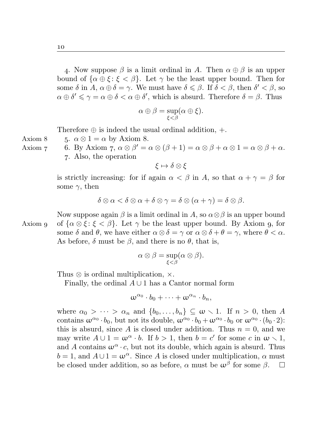4. Now suppose  $\beta$  is a limit ordinal in A. Then  $\alpha \oplus \beta$  is an upper bound of  $\{\alpha \oplus \xi : \xi < \beta\}$ . Let  $\gamma$  be the least upper bound. Then for some  $\delta$  in  $A, \alpha \oplus \delta = \gamma$ . We must have  $\delta \leq \beta$ . If  $\delta < \beta$ , then  $\delta' < \beta$ , so  $\alpha \oplus \delta' \leq \gamma = \alpha \oplus \delta < \alpha \oplus \delta'$ , which is absurd. Therefore  $\delta = \beta$ . Thus

$$
\alpha \oplus \beta = \sup_{\xi < \beta} (\alpha \oplus \xi).
$$

Therefore  $\oplus$  is indeed the usual ordinal addition,  $+$ .

Axiom 8  $5. \alpha \otimes 1 = \alpha$  by Axiom 8.

Axiom 7 6. By Axiom 7,  $\alpha \otimes \beta' = \alpha \otimes (\beta + 1) = \alpha \otimes \beta + \alpha \otimes 1 = \alpha \otimes \beta + \alpha$ . . Also, the operation

 $\xi \mapsto \delta \otimes \xi$ 

is strictly increasing: for if again  $\alpha < \beta$  in A, so that  $\alpha + \gamma = \beta$  for some  $\gamma$ , then

$$
\delta\otimes\alpha<\delta\otimes\alpha+\delta\otimes\gamma=\delta\otimes(\alpha+\gamma)=\delta\otimes\beta.
$$

Now suppose again  $\beta$  is a limit ordinal in A, so  $\alpha \otimes \beta$  is an upper bound Axiom g of  $\{\alpha \otimes \xi : \xi < \beta\}$ . Let  $\gamma$  be the least upper bound. By Axiom g, for some  $\delta$  and  $\theta$ , we have either  $\alpha \otimes \delta = \gamma$  or  $\alpha \otimes \delta + \theta = \gamma$ , where  $\theta < \alpha$ . As before,  $\delta$  must be  $\beta$ , and there is no  $\theta$ , that is,

$$
\alpha \otimes \beta = \sup_{\xi < \beta} (\alpha \otimes \beta).
$$

Thus  $\otimes$  is ordinal multiplication,  $\times$ .

Finally, the ordinal  $A \cup 1$  has a Cantor normal form

$$
\omega^{\alpha_0}\cdot b_0+\cdots+\omega^{\alpha_n}\cdot b_n,
$$

where  $\alpha_0 > \cdots > \alpha_n$  and  $\{b_0, \ldots, b_n\} \subseteq \omega \setminus 1$ . If  $n > 0$ , then A contains  $\omega^{\alpha_0} \cdot b_0$ , but not its double,  $\omega^{\alpha_0} \cdot b_0 + \omega^{\alpha_0} \cdot b_0$  or  $\omega^{\alpha_0} \cdot (b_0 \cdot 2)$ : this is absurd, since A is closed under addition. Thus  $n = 0$ , and we may write  $A \cup 1 = \omega^{\alpha} \cdot b$ . If  $b > 1$ , then  $b = c'$  for some c in  $\omega \setminus 1$ , and A contains  $\omega^{\alpha} \cdot c$ , but not its double, which again is absurd. Thus  $b = 1$ , and  $A \cup 1 = \omega^{\alpha}$ . Since A is closed under multiplication,  $\alpha$  must be closed under addition, so as before,  $\alpha$  must be  $\omega^{\beta}$  for some  $\beta$ .  $\Box$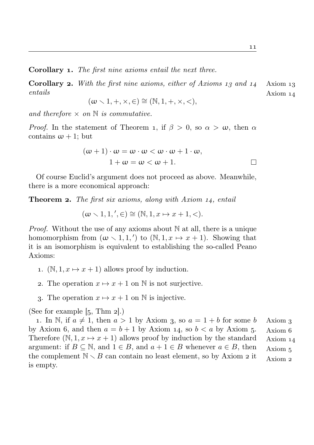Corollary 1. The first nine axioms entail the next three.

**Corollary 2.** With the first nine axioms, either of Axioms  $13$  and  $14$  Axiom  $13$ entails Axiom 14

$$
(\omega \smallsetminus 1, +, \times, \in) \cong (\mathbb{N}, 1, +, \times, <),
$$

and therefore  $\times$  on  $\mathbb N$  is commutative.

*Proof.* In the statement of Theorem 1, if  $\beta > 0$ , so  $\alpha > \omega$ , then  $\alpha$ contains  $\omega + 1$ ; but

$$
(\omega + 1) \cdot \omega = \omega \cdot \omega < \omega \cdot \omega + 1 \cdot \omega,
$$
  

$$
1 + \omega = \omega < \omega + 1.
$$

Of course Euclid's argument does not proceed as above. Meanwhile, there is a more economical approach:

**Theorem 2.** The first six axioms, along with Axiom  $14$ , entail

$$
(\omega \setminus 1, 1, ', \in) \cong (\mathbb{N}, 1, x \mapsto x + 1, <).
$$

*Proof.* Without the use of any axioms about  $\mathbb N$  at all, there is a unique homomorphism from  $(\omega \setminus 1, 1,')$  to  $(\mathbb{N}, 1, x \mapsto x + 1)$ . Showing that it is an isomorphism is equivalent to establishing the so-called Peano Axioms:

- 1.  $(N, 1, x \mapsto x + 1)$  allows proof by induction.
- 2. The operation  $x \mapsto x + 1$  on N is not surjective.
- 3. The operation  $x \mapsto x + 1$  on N is injective.

(See for example  $[5, Thm 2]$ .)

1. In N, if  $a \neq 1$ , then  $a > 1$  by Axiom 3, so  $a = 1 + b$  for some b Axiom 3 by Axiom 6, and then  $a = b + 1$  by Axiom 14, so  $b < a$  by Axiom 5. Axiom 6 Axiom Axiom Therefore  $(N, 1, x \mapsto x + 1)$  allows proof by induction by the standard argument: if  $B \subseteq \mathbb{N}$ , and  $1 \in B$ , and  $a + 1 \in B$  whenever  $a \in B$ , then the complement  $\mathbb{N} \setminus B$  can contain no least element, so by Axiom 2 it Axiom 2 is empty.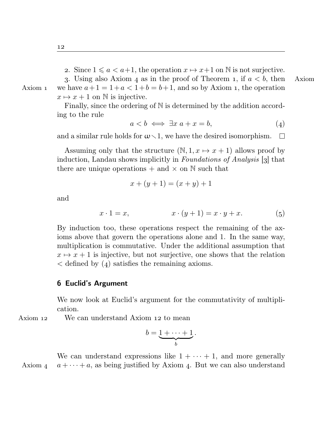2. Since  $1 \leq a \leq a+1$ , the operation  $x \mapsto x+1$  on N is not surjective.

3. Using also Axiom 4 as in the proof of Theorem 1, if  $a < b$ , then Axiom Axiom 1 we have  $a+1=1+a<1+b=b+1$ , and so by Axiom 1, the operation  $x \mapsto x + 1$  on N is injective.

> Finally, since the ordering of N is determined by the addition according to the rule

$$
a < b \iff \exists x \ a + x = b,\tag{4}
$$

and a similar rule holds for  $\omega \setminus 1$ , we have the desired isomorphism.  $\Box$ 

Assuming only that the structure  $(N, 1, x \mapsto x + 1)$  allows proof by induction, Landau shows implicitly in *Foundations of Analysis* [3] that there are unique operations  $+$  and  $\times$  on  $\mathbb N$  such that

$$
x + (y + 1) = (x + y) + 1
$$

and

$$
x \cdot 1 = x, \qquad x \cdot (y+1) = x \cdot y + x. \tag{5}
$$

By induction too, these operations respect the remaining of the axioms above that govern the operations alone and 1. In the same way, multiplication is commutative. Under the additional assumption that  $x \mapsto x + 1$  is injective, but not surjective, one shows that the relation  $\lt$  defined by (4) satisfies the remaining axioms.

#### Euclid's Argument

We now look at Euclid's argument for the commutativity of multiplication.

Axiom 12 We can understand Axiom 12 to mean

$$
b=\underbrace{1+\cdots+1}_{b}.
$$

We can understand expressions like  $1 + \cdots + 1$ , and more generally Axiom  $a + \cdots + a$ , as being justified by Axiom 4. But we can also understand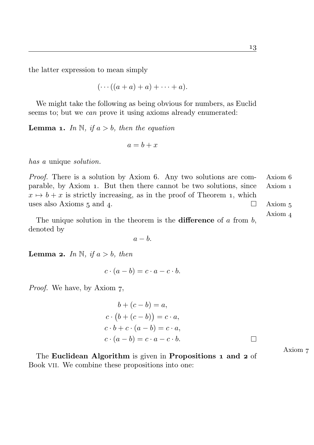the latter expression to mean simply

$$
(\cdots((a+a)+a)+\cdots+a).
$$

We might take the following as being obvious for numbers, as Euclid seems to; but we *can* prove it using axioms already enumerated:

**Lemma 1.** In N, if  $a > b$ , then the equation

$$
a = b + x
$$

has a unique solution.

*Proof.* There is a solution by Axiom 6. Any two solutions are com- Axiom 6 parable, by Axiom . But then there cannot be two solutions, since Axiom  $x \mapsto b + x$  is strictly increasing, as in the proof of Theorem 1, which uses also Axioms  $5$  and  $4$ .  $\Box$  Axiom  $5$ 

Axiom The unique solution in the theorem is the **difference** of  $a$  from  $b$ , denoted by

 $a - b$ .

**Lemma 2.** In N, if  $a > b$ , then

$$
c \cdot (a - b) = c \cdot a - c \cdot b.
$$

*Proof.* We have, by Axiom 7,

$$
b + (c - b) = a,
$$
  
\n
$$
c \cdot (b + (c - b)) = c \cdot a,
$$
  
\n
$$
c \cdot b + c \cdot (a - b) = c \cdot a,
$$
  
\n
$$
c \cdot (a - b) = c \cdot a - c \cdot b.
$$

The Euclidean Algorithm is given in Propositions 1 and 2 of Book vii. We combine these propositions into one:

Axiom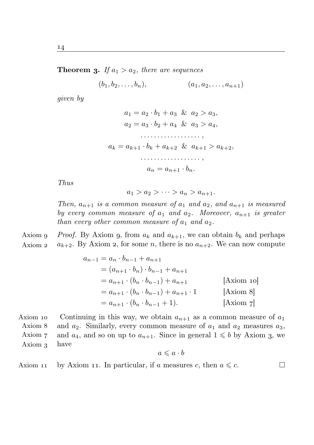**Theorem 3.** If  $a_1 > a_2$ , there are sequences

$$
(b_1, b_2, \ldots, b_n), \qquad (a_1, a_2, \ldots, a_{n+1})
$$

given by

$$
a_1 = a_2 \cdot b_1 + a_3 \& a_2 > a_3,
$$
  
\n
$$
a_2 = a_3 \cdot b_2 + a_4 \& a_3 > a_4,
$$
  
\n
$$
\dots
$$
  
\n
$$
a_k = a_{k+1} \cdot b_k + a_{k+2} \& a_{k+1} > a_{k+2},
$$
  
\n
$$
\dots
$$
  
\n
$$
a_n = a_{n+1} \cdot b_n.
$$

Thus

$$
a_1 > a_2 > \cdots > a_n > a_{n+1}.
$$

Then,  $a_{n+1}$  is a common measure of  $a_1$  and  $a_2$ , and  $a_{n+1}$  is measured by every common measure of  $a_1$  and  $a_2$ . Moreover,  $a_{n+1}$  is greater than every other common measure of  $a_1$  and  $a_2$ .

Axiom 9 Proof. By Axiom 9, from  $a_k$  and  $a_{k+1}$ , we can obtain  $b_k$  and perhaps Axiom 2  $a_{k+2}$ . By Axiom 2, for some n, there is no  $a_{n+2}$ . We can now compute

$$
a_{n-1} = a_n \cdot b_{n-1} + a_{n+1}
$$
  
=  $(a_{n+1} \cdot b_n) \cdot b_{n-1} + a_{n+1}$   
=  $a_{n+1} \cdot (b_n \cdot b_{n-1}) + a_{n+1}$  [Axiom 10]  
=  $a_{n+1} \cdot (b_n \cdot b_{n-1}) + a_{n+1} \cdot 1$  [Axiom 8]  
=  $a_{n+1} \cdot (b_n \cdot b_{n-1} + 1)$ . [Axiom 7]

Axiom 10 Continuing in this way, we obtain  $a_{n+1}$  as a common measure of  $a_1$ Axiom Axiom and  $a_2$ . Similarly, every common measure of  $a_1$  and  $a_2$  measures  $a_3$ , and  $a_4$ , and so on up to  $a_{n+1}$ . Since in general  $1 \leq b$  by Axiom 3, we Axiom 3 have

$$
a\leqslant a\cdot b
$$

 $\Box$ 

Axiom 11 by Axiom 11. In particular, if a measures c, then  $a \leq c$ .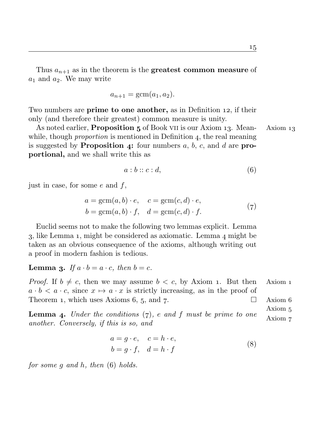Thus  $a_{n+1}$  as in the theorem is the greatest common measure of  $a_1$  and  $a_2$ . We may write

$$
a_{n+1} = \operatorname{gcm}(a_1, a_2).
$$

Two numbers are **prime to one another**, as in Definition 12, if their only (and therefore their greatest) common measure is unity.

As noted earlier, **Proposition 5** of Book VII is our Axiom 13. Mean- $\Lambda$ xiom 13 while, though *proportion* is mentioned in Definition  $\alpha$ , the real meaning is suggested by **Proposition 4:** four numbers a, b, c, and d are **pro**portional, and we shall write this as

$$
a:b::c:d,
$$
\n<sup>(6)</sup>

just in case, for some  $e$  and  $f$ ,

$$
a = \text{gcm}(a, b) \cdot e, \quad c = \text{gcm}(c, d) \cdot e,
$$
  
\n
$$
b = \text{gcm}(a, b) \cdot f, \quad d = \text{gcm}(c, d) \cdot f.
$$
 (7)

Euclid seems not to make the following two lemmas explicit. Lemma  $3$ , like Lemma 1, might be considered as axiomatic. Lemma  $4$  might be taken as an obvious consequence of the axioms, although writing out a proof in modern fashion is tedious.

**Lemma 3.** If  $a \cdot b = a \cdot c$ , then  $b = c$ .

*Proof.* If  $b \neq c$ , then we may assume  $b < c$ , by Axiom 1. But then Axiom 1  $a \cdot b < a \cdot c$ , since  $x \mapsto a \cdot x$  is strictly increasing, as in the proof of Theorem 1, which uses Axioms 6, 5, and 7.  $\square$  Axiom 6

Axiom **Lemma 4.** Under the conditions  $(7)$ , e and f must be prime to one Axiom 7 another. Conversely, if this is so, and

$$
a = g \cdot e, \quad c = h \cdot e,
$$
  
\n
$$
b = g \cdot f, \quad d = h \cdot f
$$
\n(8)

for some  $g$  and  $h$ , then  $(6)$  holds.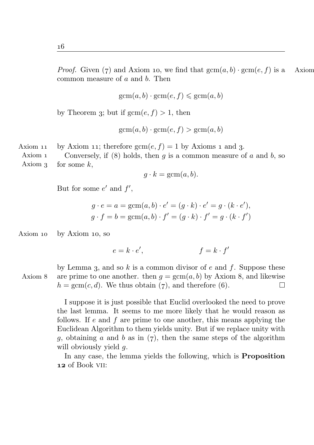*Proof.* Given (7) and Axiom 10, we find that  $gcm(a, b) \cdot gcm(e, f)$  is a Axiom common measure of  $a$  and  $b$ . Then

$$
gcm(a, b) \cdot gcm(e, f) \leq gcm(a, b)
$$

by Theorem 3; but if  $gcm(e, f) > 1$ , then

$$
gcm(a, b) \cdot gcm(e, f) > gcm(a, b)
$$

Axiom 11 by Axiom 11; therefore  $\text{gcm}(e, f) = 1$  by Axioms 1 and 3.

Axiom Axiom Conversely, if (8) holds, then q is a common measure of  $a$  and  $b$ , so for some  $k$ ,

$$
g \cdot k = \text{gcm}(a, b).
$$

But for some  $e'$  and  $f'$ ,

$$
g \cdot e = a = \text{gcm}(a, b) \cdot e' = (g \cdot k) \cdot e' = g \cdot (k \cdot e'),
$$
  
 $g \cdot f = b = \text{gcm}(a, b) \cdot f' = (g \cdot k) \cdot f' = g \cdot (k \cdot f')$ 

Axiom  $10$  by Axiom  $10$ , so

$$
e = k \cdot e', \qquad f = k \cdot f'
$$

by Lemma 3, and so k is a common divisor of e and f. Suppose these Axiom 8 are prime to one another. then  $q = \text{gcm}(a, b)$  by Axiom 8, and likewise  $h = \text{gcm}(c, d)$ . We thus obtain (7), and therefore (6).  $\Box$ 

> I suppose it is just possible that Euclid overlooked the need to prove the last lemma. It seems to me more likely that he would reason as follows. If  $e$  and  $f$  are prime to one another, this means applying the Euclidean Algorithm to them yields unity. But if we replace unity with q, obtaining a and b as in  $(7)$ , then the same steps of the algorithm will obviously yield g.

> In any case, the lemma yields the following, which is Proposition 12 of Book VII: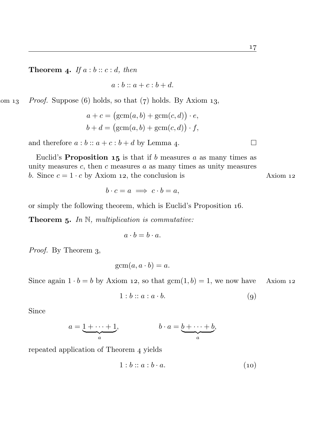$\Box$ 

**Theorem 4.** If  $a:b::c:d$ , then

 $a : b :: a + c : b + d$ .

 $\Delta$ <sub>13</sub> Proof. Suppose (6) holds, so that (7) holds. By Axiom 13,

$$
a + c = (\text{gcm}(a, b) + \text{gcm}(c, d)) \cdot e,
$$
  

$$
b + d = (\text{gcm}(a, b) + \text{gcm}(c, d)) \cdot f,
$$

and therefore  $a:b:: a+c:b+d$  by Lemma 4.

Euclid's **Proposition 15** is that if b measures a as many times as unity measures  $c$ , then  $c$  measures  $a$  as many times as unity measures b. Since  $c = 1 \cdot c$  by Axiom 12, the conclusion is Axiom 12

$$
b \cdot c = a \implies c \cdot b = a,
$$

or simply the following theorem, which is Euclid's Proposition .

**Theorem 5.** In  $\mathbb N$ , multiplication is commutative:

$$
a \cdot b = b \cdot a.
$$

Proof. By Theorem 3,

 $gcm(a, a \cdot b) = a.$ 

Since again  $1 \cdot b = b$  by Axiom 12, so that  $gcm(1, b) = 1$ , we now have Axiom 12

$$
1:b::a:a\cdot b.\t\t(9)
$$

Since

$$
a = \underbrace{1 + \cdots + 1}_{a}, \qquad \qquad b \cdot a = \underbrace{b + \cdots + b}_{a},
$$

repeated application of Theorem 4 yields

$$
1:b::a:b\cdot a.\t\t(10)
$$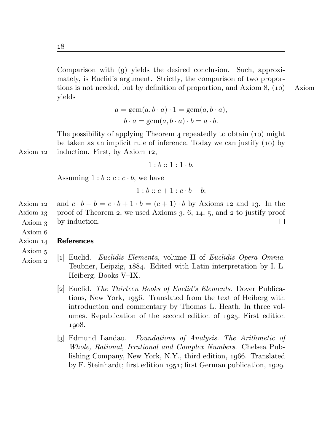Comparison with  $(q)$  yields the desired conclusion. Such, approximately, is Euclid's argument. Strictly, the comparison of two proportions is not needed, but by definition of proportion, and Axiom  $8$ , (10) Axiom yields

$$
a = \text{gcm}(a, b \cdot a) \cdot 1 = \text{gcm}(a, b \cdot a),
$$

$$
b \cdot a = \text{gcm}(a, b \cdot a) \cdot b = a \cdot b.
$$

The possibility of applying Theorem  $\alpha$  repeatedly to obtain (10) might be taken as an implicit rule of inference. Today we can justify  $(10)$  by Axiom  $12$  induction. First, by Axiom  $12$ ,

 $1 \cdot b \cdot 1 \cdot 1 \cdot b$ 

Assuming  $1:b:: c:c\cdot b$ , we have

$$
1:b::c+1:c\cdot b+b;
$$

Axiom 12 and  $c \cdot b + b = c \cdot b + 1 \cdot b = (c + 1) \cdot b$  by Axioms 12 and 13. In the Axiom  $_1$  proof of Theorem 2, we used Axioms 3, 6,  $_1$ 4, 5, and 2 to justify proof by induction. П Axiom

Axiom

#### Axiom References

Axiom

- Axiom [] Euclid. Euclidis Elementa, volume II of Euclidis Opera Omnia. Teubner, Leipzig, 1884. Edited with Latin interpretation by I. L. Heiberg. Books V–IX.
	- [2] Euclid. *The Thirteen Books of Euclid's Elements*. Dover Publications, New York, 1956. Translated from the text of Heiberg with introduction and commentary by Thomas L. Heath. In three volumes. Republication of the second edition of 1925. First edition 1908.
	- [3] Edmund Landau. Foundations of Analysis. The Arithmetic of Whole, Rational, Irrational and Complex Numbers. Chelsea Publishing Company, New York, N.Y., third edition, 1966. Translated by F. Steinhardt; first edition  $1951$ ; first German publication,  $1929$ .